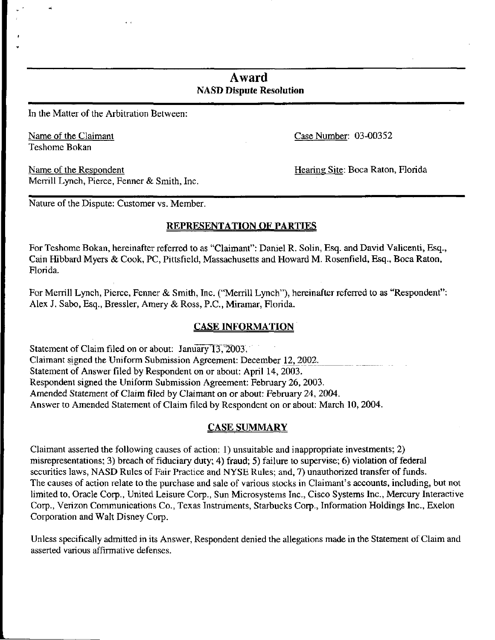# Award NASD Dispute Resolution

In the Matter of the Arbitration Between:

Teshome Bokan

Name of the Claimant Case Number: 03-00352

Name of the Respondent Name of the Respondent Name of the Respondent Name of the Respondent Merrill Lynch, Pierce, Fenner & Smith, Inc.

Nature of the Dispute: Customer vs. Member.

## REPRESENTATION OF PARTIES

For Teshome Bokan, hereinafter referred to as "Claimant": Daniel R. Solin, Esq. and David Valicenti, Esq., Cain Hibbard Myers & Cook, PC, Pittsfield, Massachusetts and Howard M. Rosenfield, Esq., Boca Raton, Florida.

For Merrill Lynch, Pierce, Fenner & Smith, Inc. ("Merrill Lynch"), hereinafter referred to as "Respondent": Alex J. Sabo, Esq., Bressler, Amery & Ross, P.C., Miramar, Florida.

# CASE INFORMATION

Statement of Claim filed on or about: January 13, 2003. Claimant signed the Uniform Submission Agreement: December 12, 2002. Statement of Answer filed by Respondent on or about: April 14, 2003. Respondent signed the Uniform Submission Agreement: February 26, 2003. Amended Statement of Claim filed by Claimant on or about: February 24, 2004. Answer to Amended Statement of Claim filed by Respondent on or about: March 10, 2004.

## CASE SUMMARY

Claimant asserted the following causes of action: 1) unsuitable and inappropriate investments; 2) misrepresentations; 3) breach of fiduciary duty; 4) fraud; 5) failure to supervise; 6) violation of federal securities laws, NASD Rules of Fair Practice and NYSE Rules; and, 7) unauthorized transfer of funds. The causes of action relate to the purchase and sale of various stocks in Claimant's accounts, including, but not limited to, Oracle Corp., United Leisure Corp., Sun Microsystems Inc., Cisco Systems Inc., Mercury Interactive Corp., Verizon Communications Co., Texas Instruments, Starbucks Corp., Information Holdings Inc., Exelon Corporation and Walt Disney Corp.

Unless specifically admitted in its Answer, Respondent denied the allegations made in the Statement of Claim and asserted various affirmative defenses.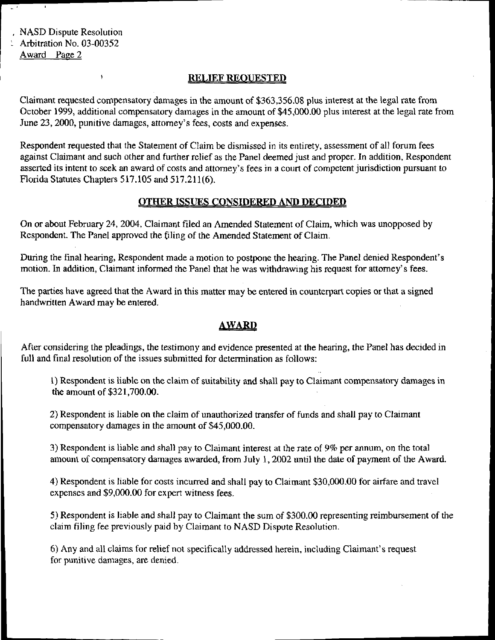NASD Dispute Resolution Arbitration No. 03-00352 Award Page 2

 $\pmb{\mathcal{Y}}$ 

## RELIEF REQUESTED

Claimant requested compensatory damages in the amount of \$363,356.08 plus interest at the legal rate from October 1999, additional compensatory damages in the amount of \$45,000.00 plus interest at the legal rate from June 23, 2000, punitive damages, attorney's fees, costs and expenses.

Respondent requested that the Statement of Claim be dismissed in its entirety, assessment of all forum fees against Claimant and such other and further relief as the Panel deemed just and proper. In addition, Respondent asserted its intent to seek an award of costs and attorney's fees in a court of competent jurisdiction pursuant to Florida Statutes Chapters 517.105 and 517.211(6).

## OTHER ISSUES CONSIDERED AND DECIDED

On or about February 24, 2004, Claimant filed an Amended Statement of Claim, which was unopposed by Respondent. The Panel approved the filing of the Amended Statement of Claim.

During the final hearing, Respondent made a motion to postpone the hearing. The Panel denied Respondent's motion. In addition, Claimant informed the Panel that he was withdrawing his request for attorney's fees.

The parties have agreed that the Award in this matter may be entered in counterpart copies or that a signed handwritten Award may be entered.

## <u>AWARD</u>

After considering the pleadings, the testimony and evidence presented at the hearing, the Panel has decided in full and final resolution of the issues submitted for determination as follows:

1) Respondent is liable on the claim of suitability and shall pay to Claimant compensatory damages in the amount of \$321,700.00.

2) Respondent is liable on the claim of unauthorized transfer of funds and shall pay to Claimant compensatory damages in the amount of \$45,000.00.

3) Respondent is liable and shall pay to Claimant interest at the rate of 9% per annum, on the total amount of compensatory damages awarded, from July 1, 2002 until the date of payment of the Award.

4) Respondent is liable for costs incurred and shall pay to Claimant \$30,000.00 for airfare and travel expenses and \$9,000.00 for expert witness fees.

5) Respondent is liable and shall pay to Claimant the sum of \$300.00 representing reimbursement of the claim filing fee previously paid by Claimant to NASD Dispute Resolution.

6) Any and all claims for relief not specifically addressed herein, including Claimant's request for punitive damages, are denied.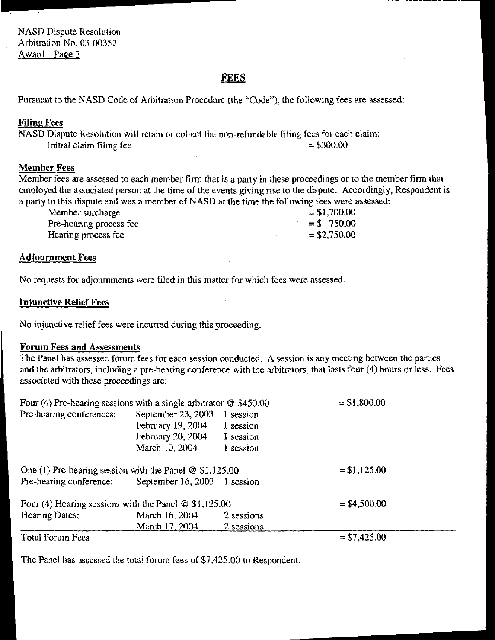# **FEES**

Pursuant to the NASD Code of Arbitration Procedure (the "Code"), the following fees are assessed:

## Filing Fees

NASD Dispute Resolution will retain or collect the non-refundable filing fees for each claim:<br>Initial claim filing fee Initial claim filing fee

## Member Fees

Member fees are assessed to each member firm that is a party in these proceedings or to the member firm that employed the associated person at the time of the events giving rise to the dispute. Accordingly, Respondent is a party to this dispute and was a member of NASD at the time the following fees were assessed:

| Member surcharge        | $= $1,700.00$ |
|-------------------------|---------------|
| Pre-hearing process fee | $= $750.00$   |
| Hearing process fee     | $= $2,750.00$ |

## Adjournment Fees

No requests for adjournments were filed in this matter for which fees were assessed.

### Injunctive Relief Fees

No injunctive relief fees were incurred during this proceeding,

## Forum Fees and Assessments

The Panel has assessed forum fees for each session conducted. A session is any meeting between the parties and the arbitrators, including a pre-hearing conference with the arbitrators, that lasts four (4) hours or less. Fees associated with these proceedings are:

| Four (4) Pre-hearing sessions with a single arbitrator $\omega$ \$450.00 |                              |            | $= $1,800.00$  |  |
|--------------------------------------------------------------------------|------------------------------|------------|----------------|--|
| Pre-hearing conferences:                                                 | September 23, 2003           | 1 session  |                |  |
|                                                                          | February 19, 2004            | 1 session  |                |  |
|                                                                          | February 20, 2004            | 1 session  |                |  |
|                                                                          | March 10, 2004               | 1 session  |                |  |
| One (1) Pre-hearing session with the Panel $\omega$ \$1,125.00           |                              |            | $= $1,125.00$  |  |
| Pre-hearing conference:                                                  | September 16, 2003 1 session |            |                |  |
| Four (4) Hearing sessions with the Panel $\omega$ \$1,125.00             |                              |            | $=$ \$4,500.00 |  |
| Hearing Dates:                                                           | March 16, 2004               | 2 sessions |                |  |
|                                                                          | March 17, 2004               | 2 sessions |                |  |
| Total Forum Fage                                                         |                              |            | $-$ 47 425 00  |  |

Total Forum Fees

= \$7,425.00

The Panel has assessed the total forum fees of \$7,425.00 to Respondent.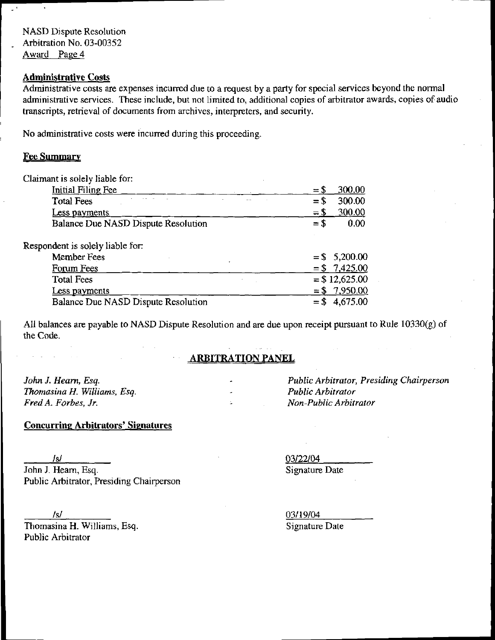NASD Dispute Resolution Arbitration No. 03-00352 Award Page 4

## Administrative Costs

Administrative costs are expenses incurred due to a request by a party for special services beyond the normal administrative services. These include, but not limited to, additional copies of arbitrator awards, copies of audio transcripts, retrieval of documents from archives, interpreters, and security.

No administrative costs were incurred during this proceeding.

## **Fee Summary**

| Claimant is solely liable for:             |                  |
|--------------------------------------------|------------------|
| Initial Filing Fee                         | 300.00<br>$= 5$  |
| <b>Total Fees</b>                          | 300.00<br>$=$ \$ |
| <b>Less payments</b>                       | 300.00<br>$=$ \$ |
| Balance Due NASD Dispute Resolution        | 0.00<br>$=$ \$   |
| Respondent is solely liable for:           |                  |
| <b>Member Fees</b>                         | $=$ \$ 5,200.00  |
| Forum Fees                                 | $= $7,425.00$    |
| <b>Total Fees</b>                          | $=$ \$12,625.00  |
| Less payments                              | $= $7,950.00$    |
| <b>Balance Due NASD Dispute Resolution</b> | $=$ \$4,675.00   |

All balances are payable to NASD Dispute Resolution and are due upon receipt pursuant to Rule 10330(g) of the Code.

# ARBITRATION PANEL

John J. Hearn, Esq. Thomasina H. Williams, Esq. Fred A. Forbes, Jr.

# Concurring Arbitrators' Signatures

/s/

John J. Hearn, Esq. Public Arbitrator, Presiding Chairperson

/s/ Thomasina H. Williams, Esq. Public Arbitrator

Public Arbitrator, Presiding Chairperson Public Arbitrator Non-Public Arbitrator

03/22/04 Signature Date

03/19/04 Signature Date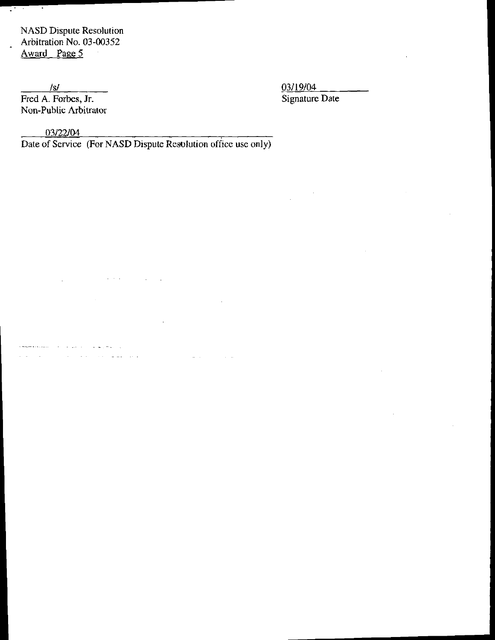NASD Dispute Resolution Arbitration No. 03-00352 Award Page 5

 $\mathcal{L}(\mathcal{A})$ 

 $\ddot{\phantom{a}}$ 

Fred A. Forbes, Jr. Non-Public Arbitrator

 $\frac{03/19/04}{93/19/04}$ . Forbes, Jr.

03/22/04 .

Date of Service (For NASD Dispute Resolution office use only)

 $\mathcal{L}_{\mathcal{A}}$ 

 $\sim$   $\sim$ 

 $\sim$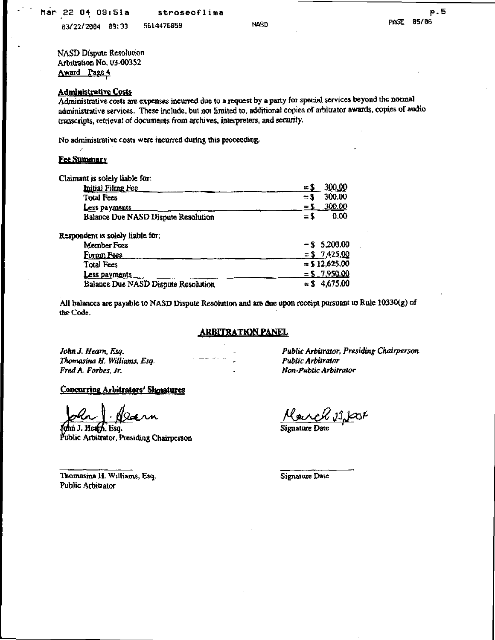83/22/2904 a\* 33 56W476059 NftSD

NASD Dispute Resolution Arbitration No, 03-00352 Award Page 4

### Administrative Costs

Administrative costs are expenses incurred due to a request by a party for special services beyond the normal administrative services. These include, but not limited to, additional copies of arbitrator awards, copies of audio transcripts, retrieval of documents from archives, interpreters, and security.

No administrative costs were incurred during this proceeding-

#### **Fee Summary**

| Claimant is solely liable for:      |                              |
|-------------------------------------|------------------------------|
| Initial Filing Fee                  | 300,00<br>$=$ $\overline{5}$ |
| <b>Total Fees</b>                   | 300.00<br>$=$ \$             |
| Less payments                       | 300.00<br>$=5$               |
| Balance Due NASD Dispute Resolution | 0.00<br>$=$ \$               |
| Respondent is solely liable for:    |                              |
| Member Fees                         | $=$ \$ 5,200.00              |
| Forum Fees                          | $= $7,425.00$                |
| <b>Total Fees</b>                   | $=$ \$12,625.00              |
| <u>Less payments</u>                | $=$ \$ 7,950.00              |
| Balance Due NASD Dispute Resolution | $=$ \$ 4.675.00              |

All balances are payable to NASD Dispute Resolution and are due upon receipt pursuant to Rule 10330(g) of the Code.

### **ARBITRATION PANEL**

Thomasina H. Williams, Esq. Fred A. Forbes, Jr. • Non-Public Arbitrator

#### Concurring Arbitrators' Signatures

bla J. Naenn<br>Chin J. Heart, Esq. Signature Date 19<del>a</del> nn

Public Arbitrator, Presiding Chairperson

John X Hearn, Esq. - Public Arbitrator, Presiding Chairperson

Thomasina H. Williams, Esq. Signature Date Public Arbitrator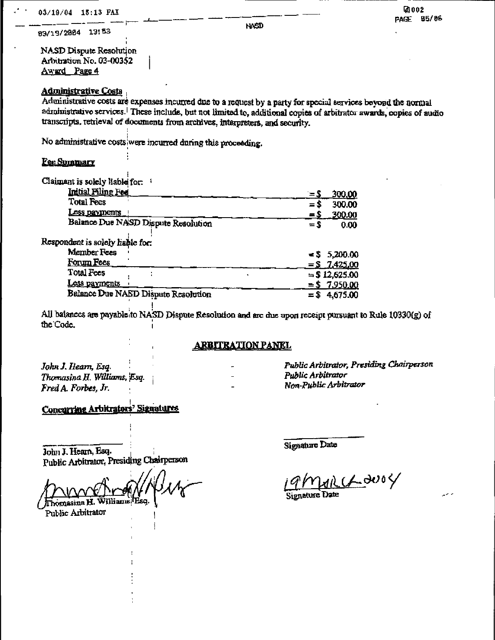03/19/2004 13:53

" ' NASD

i NASD Dispute Resolution Arbitration No. 03-003^2 Award Page 4

## Administrative Costs ;

Administrative costs are expenses incurred due to a request by a party for special services beyond the normal adinimistrative services.<sup>1</sup> These include, but not limited to, additional copies of arbitrator awards, copies of audio transcripts, retrieval of documents from archives, interpreters, and security.

No administrative costs were incurred during this proceeding.

## Fee Summary

Claimant is solely liable for:

| Initial Filing Fee                  | 300.00<br>$= 5$  |
|-------------------------------------|------------------|
| <b>Total Fees</b>                   | 300.00<br>$= 5$  |
| <u>Less payments</u>                | .300.00<br>$=$ S |
| Balance Due NASD Dispute Resolution | $=$ S<br>0.00    |
| Respondent is solely liable for:    |                  |
| Member Fees                         | $= 5$ 5,200.00   |
| Forum Fees                          | $= 5$ 7,425.00   |
| <b>Total Fees</b>                   | $=$ \$12,625.00  |
| <u>Less payments</u>                | $=$ \$ 7,950,00  |
| Balance Due NASD Dispute Resolution | $= $4,675.00$    |

All balances are payable to NASD Dispute Resolution and arc due upon receipt pursuant to Rule 10330(g) of the Code.

#### <u>ARBITRATION PANEL</u>

John J. Hearn, Esq. Thomasin&H. 'Esq. Fred A. Forbes, Jr.

Public Arbitrator, Presiding Chairperson Public Arbitrator Non-Public Arbitrator

Concurring Arbitrators' Signatures

John J. Hearn, Esq. Public Arbitrator, Presiding Chairperson

illiams (Esq Thomasina H. Public Arbitrator

Signature Date

11 Chouse

Signature Date